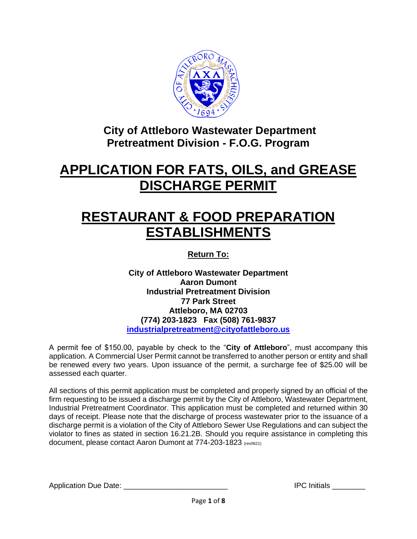

**City of Attleboro Wastewater Department Pretreatment Division - F.O.G. Program**

## **APPLICATION FOR FATS, OILS, and GREASE DISCHARGE PERMIT**

# **RESTAURANT & FOOD PREPARATION ESTABLISHMENTS**

**Return To:**

**City of Attleboro Wastewater Department Aaron Dumont Industrial Pretreatment Division 77 Park Street Attleboro, MA 02703 (774) 203-1823 Fax (508) 761-9837 [industrialpretreatment@cityofattleboro.us](mailto:industrialpretreatment@cityofattleboro.us)**

A permit fee of \$150.00, payable by check to the "**City of Attleboro**", must accompany this application. A Commercial User Permit cannot be transferred to another person or entity and shall be renewed every two years. Upon issuance of the permit, a surcharge fee of \$25.00 will be assessed each quarter.

All sections of this permit application must be completed and properly signed by an official of the firm requesting to be issued a discharge permit by the City of Attleboro, Wastewater Department, Industrial Pretreatment Coordinator. This application must be completed and returned within 30 days of receipt. Please note that the discharge of process wastewater prior to the issuance of a discharge permit is a violation of the City of Attleboro Sewer Use Regulations and can subject the violator to fines as stated in section 16.21.2B. Should you require assistance in completing this document, please contact Aaron Dumont at 774-203-1823 (rev0621)

Application Due Date: \_\_\_\_\_\_\_\_\_\_\_\_\_\_\_\_\_\_\_\_\_\_\_\_\_ IPC Initials \_\_\_\_\_\_\_\_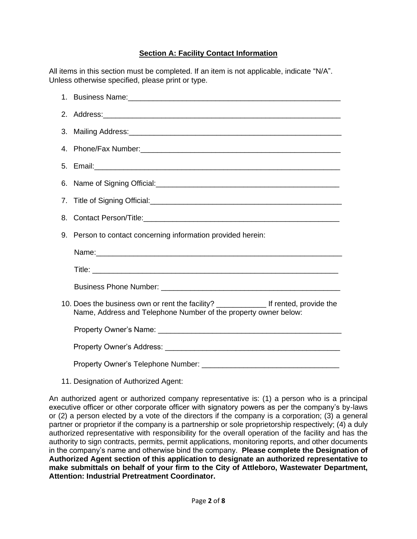## **Section A: Facility Contact Information**

All items in this section must be completed. If an item is not applicable, indicate "N/A". Unless otherwise specified, please print or type.

|    | 2. Address: 2. Address: 2. Address: 2. Address: 2. Address: 2. Address: 2. Address: 2. Address: 2. Address: 2. Address: 2. Address: 2. Address: 2. Address: 2. Address: 2. Address: 2. Address: 2. Address: 2. Address: 2. Add |
|----|--------------------------------------------------------------------------------------------------------------------------------------------------------------------------------------------------------------------------------|
| 3. |                                                                                                                                                                                                                                |
|    |                                                                                                                                                                                                                                |
|    | 5. Email: 2008. 2009. 2009. 2010. 2010. 2010. 2010. 2010. 2010. 2010. 2010. 2010. 2010. 2010. 2010. 2010. 2010                                                                                                                 |
|    |                                                                                                                                                                                                                                |
|    | 7. Title of Signing Official: Cambridge Contract Contract Contract Contract Contract Contract Contract Contract Contract Contract Contract Contract Contract Contract Contract Contract Contract Contract Contract Contract Co |
| 8. |                                                                                                                                                                                                                                |
| 9. | Person to contact concerning information provided herein:                                                                                                                                                                      |
|    |                                                                                                                                                                                                                                |
|    |                                                                                                                                                                                                                                |
|    |                                                                                                                                                                                                                                |
|    | 10. Does the business own or rent the facility? _______________ If rented, provide the<br>Name, Address and Telephone Number of the property owner below:                                                                      |
|    |                                                                                                                                                                                                                                |
|    |                                                                                                                                                                                                                                |
|    |                                                                                                                                                                                                                                |

11. Designation of Authorized Agent:

An authorized agent or authorized company representative is: (1) a person who is a principal executive officer or other corporate officer with signatory powers as per the company's by-laws or (2) a person elected by a vote of the directors if the company is a corporation; (3) a general partner or proprietor if the company is a partnership or sole proprietorship respectively; (4) a duly authorized representative with responsibility for the overall operation of the facility and has the authority to sign contracts, permits, permit applications, monitoring reports, and other documents in the company's name and otherwise bind the company. **Please complete the Designation of Authorized Agent section of this application to designate an authorized representative to make submittals on behalf of your firm to the City of Attleboro, Wastewater Department, Attention: Industrial Pretreatment Coordinator.**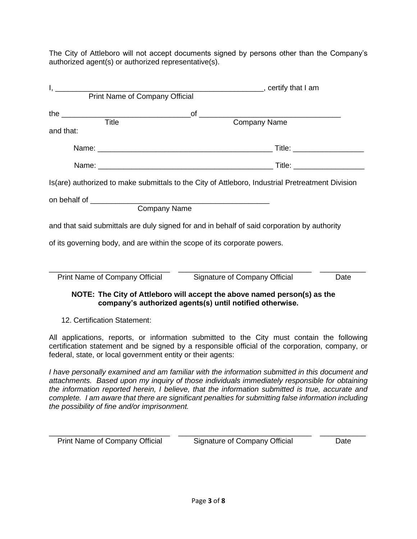The City of Attleboro will not accept documents signed by persons other than the Company's authorized agent(s) or authorized representative(s).

| $\overline{T}$ itle                                                      | of<br>Company Name                                                                                                                   |      |  |
|--------------------------------------------------------------------------|--------------------------------------------------------------------------------------------------------------------------------------|------|--|
| and that:                                                                |                                                                                                                                      |      |  |
|                                                                          |                                                                                                                                      |      |  |
|                                                                          |                                                                                                                                      |      |  |
|                                                                          | Is (are) authorized to make submittals to the City of Attleboro, Industrial Pretreatment Division                                    |      |  |
|                                                                          |                                                                                                                                      |      |  |
| <b>Company Name</b>                                                      |                                                                                                                                      |      |  |
|                                                                          | and that said submittals are duly signed for and in behalf of said corporation by authority                                          |      |  |
| of its governing body, and are within the scope of its corporate powers. |                                                                                                                                      |      |  |
|                                                                          |                                                                                                                                      |      |  |
| <b>Print Name of Company Official</b>                                    | Signature of Company Official                                                                                                        | Date |  |
|                                                                          | NOTE: The City of Attleboro will accept the above named person(s) as the<br>company's authorized agents(s) until notified otherwise. |      |  |
| 12. Certification Statement:                                             |                                                                                                                                      |      |  |

All applications, reports, or information submitted to the City must contain the following certification statement and be signed by a responsible official of the corporation, company, or federal, state, or local government entity or their agents:

*I have personally examined and am familiar with the information submitted in this document and attachments. Based upon my inquiry of those individuals immediately responsible for obtaining the information reported herein, I believe, that the information submitted is true, accurate and complete. I am aware that there are significant penalties for submitting false information including the possibility of fine and/or imprisonment.*

Print Name of Company Official Signature of Company Official Date

\_\_\_\_\_\_\_\_\_\_\_\_\_\_\_\_\_\_\_\_\_\_\_\_\_\_\_\_\_ \_\_\_\_\_\_\_\_\_\_\_\_\_\_\_\_\_\_\_\_\_\_\_\_\_\_\_\_\_\_\_\_ \_\_\_\_\_\_\_\_\_\_\_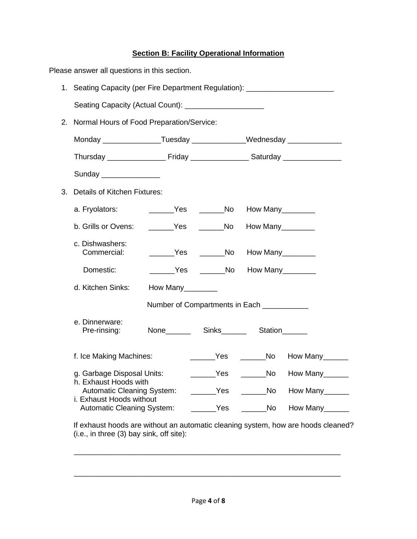## **Section B: Facility Operational Information**

| Please answer all questions in this section. |                                                                                  |                 |                                          |  |                                     |
|----------------------------------------------|----------------------------------------------------------------------------------|-----------------|------------------------------------------|--|-------------------------------------|
|                                              | 1. Seating Capacity (per Fire Department Regulation): __________________________ |                 |                                          |  |                                     |
|                                              | Seating Capacity (Actual Count): ______________________                          |                 |                                          |  |                                     |
| 2.                                           | Normal Hours of Food Preparation/Service:                                        |                 |                                          |  |                                     |
|                                              | Monday ___________________Tuesday ________________Wednesday _______________      |                 |                                          |  |                                     |
|                                              |                                                                                  |                 |                                          |  |                                     |
|                                              | Sunday ________________                                                          |                 |                                          |  |                                     |
| 3.                                           | <b>Details of Kitchen Fixtures:</b>                                              |                 |                                          |  |                                     |
|                                              | a. Fryolators:                                                                   |                 | ________Yes ________No How Many_________ |  |                                     |
|                                              | b. Grills or Ovens:                                                              |                 | _______Yes _______No How Many_______     |  |                                     |
|                                              | c. Dishwashers:<br>Commercial:                                                   |                 |                                          |  |                                     |
|                                              | Domestic:                                                                        |                 | Yes _________No How Many_________        |  |                                     |
|                                              | d. Kitchen Sinks:                                                                | How Many_______ |                                          |  |                                     |
|                                              | Number of Compartments in Each ___________                                       |                 |                                          |  |                                     |
|                                              | e. Dinnerware:<br>Pre-rinsing:                                                   |                 | None Sinks Station                       |  |                                     |
|                                              | f. Ice Making Machines:                                                          |                 |                                          |  | How Many______                      |
|                                              | g. Garbage Disposal Units:                                                       |                 |                                          |  | _______Yes _______No How Many______ |
|                                              | h. Exhaust Hoods with<br>Automatic Cleaning System:                              |                 | _______Yes _______No                     |  | How Many                            |
|                                              | i. Exhaust Hoods without<br><b>Automatic Cleaning System:</b>                    |                 | _____Yes _______No                       |  | How Many______                      |
|                                              |                                                                                  |                 |                                          |  |                                     |

If exhaust hoods are without an automatic cleaning system, how are hoods cleaned? (i.e., in three (3) bay sink, off site):

\_\_\_\_\_\_\_\_\_\_\_\_\_\_\_\_\_\_\_\_\_\_\_\_\_\_\_\_\_\_\_\_\_\_\_\_\_\_\_\_\_\_\_\_\_\_\_\_\_\_\_\_\_\_\_\_\_\_\_\_\_\_\_\_

\_\_\_\_\_\_\_\_\_\_\_\_\_\_\_\_\_\_\_\_\_\_\_\_\_\_\_\_\_\_\_\_\_\_\_\_\_\_\_\_\_\_\_\_\_\_\_\_\_\_\_\_\_\_\_\_\_\_\_\_\_\_\_\_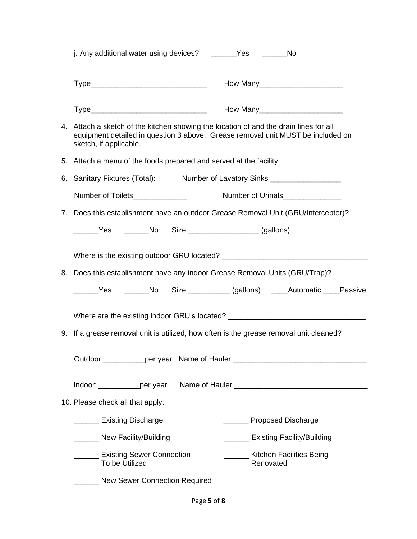|             | j. Any additional water using devices? _______Yes                                                                                                                                                  | <b>No</b>                                                                                                                                                                                                                     |  |  |  |
|-------------|----------------------------------------------------------------------------------------------------------------------------------------------------------------------------------------------------|-------------------------------------------------------------------------------------------------------------------------------------------------------------------------------------------------------------------------------|--|--|--|
|             |                                                                                                                                                                                                    |                                                                                                                                                                                                                               |  |  |  |
|             |                                                                                                                                                                                                    | Type__________________________________  How Many________________________________                                                                                                                                              |  |  |  |
|             | 4. Attach a sketch of the kitchen showing the location of and the drain lines for all<br>equipment detailed in question 3 above. Grease removal unit MUST be included on<br>sketch, if applicable. |                                                                                                                                                                                                                               |  |  |  |
|             | 5. Attach a menu of the foods prepared and served at the facility.                                                                                                                                 |                                                                                                                                                                                                                               |  |  |  |
| 6.          | Sanitary Fixtures (Total): Number of Lavatory Sinks ____________________________                                                                                                                   |                                                                                                                                                                                                                               |  |  |  |
|             | Number of Toilets______________                                                                                                                                                                    | Number of Urinals                                                                                                                                                                                                             |  |  |  |
| $7_{\cdot}$ |                                                                                                                                                                                                    | Does this establishment have an outdoor Grease Removal Unit (GRU/Interceptor)?                                                                                                                                                |  |  |  |
|             | ________Yes ________No Size ____________________________(gallons)                                                                                                                                  |                                                                                                                                                                                                                               |  |  |  |
|             |                                                                                                                                                                                                    |                                                                                                                                                                                                                               |  |  |  |
|             |                                                                                                                                                                                                    |                                                                                                                                                                                                                               |  |  |  |
|             | 8. Does this establishment have any indoor Grease Removal Units (GRU/Trap)?                                                                                                                        |                                                                                                                                                                                                                               |  |  |  |
|             |                                                                                                                                                                                                    | ______Yes _______No Size __________ (gallons) _____Automatic ____Passive                                                                                                                                                      |  |  |  |
|             |                                                                                                                                                                                                    |                                                                                                                                                                                                                               |  |  |  |
|             |                                                                                                                                                                                                    | Where are the existing indoor GRU's located? ___________________________________                                                                                                                                              |  |  |  |
| 9.          | If a grease removal unit is utilized, how often is the grease removal unit cleaned?                                                                                                                |                                                                                                                                                                                                                               |  |  |  |
|             |                                                                                                                                                                                                    | Outdoor: example per year Name of Hauler example and the control of the control of the control of the control of the control of the control of the control of the control of the control of the control of the control of the |  |  |  |
|             |                                                                                                                                                                                                    |                                                                                                                                                                                                                               |  |  |  |
|             | Indoor: ______________per year                                                                                                                                                                     |                                                                                                                                                                                                                               |  |  |  |
|             | 10. Please check all that apply:                                                                                                                                                                   |                                                                                                                                                                                                                               |  |  |  |
|             | <b>Existing Discharge</b>                                                                                                                                                                          | Proposed Discharge                                                                                                                                                                                                            |  |  |  |
|             | New Facility/Building                                                                                                                                                                              | <b>Existing Facility/Building</b>                                                                                                                                                                                             |  |  |  |
|             | <b>Existing Sewer Connection</b><br>To be Utilized                                                                                                                                                 | <b>Kitchen Facilities Being</b><br>Renovated                                                                                                                                                                                  |  |  |  |
|             | <b>New Sewer Connection Required</b>                                                                                                                                                               |                                                                                                                                                                                                                               |  |  |  |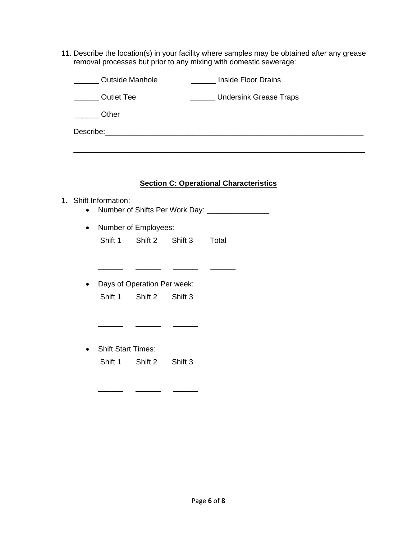11. Describe the location(s) in your facility where samples may be obtained after any grease removal processes but prior to any mixing with domestic sewerage:

| <b>Outside Manhole</b>                                                                                                                                                                                                        | Inside Floor Drains           |
|-------------------------------------------------------------------------------------------------------------------------------------------------------------------------------------------------------------------------------|-------------------------------|
| <b>Outlet Tee</b>                                                                                                                                                                                                             | <b>Undersink Grease Traps</b> |
| Other                                                                                                                                                                                                                         |                               |
| Describe: the contract of the contract of the contract of the contract of the contract of the contract of the contract of the contract of the contract of the contract of the contract of the contract of the contract of the |                               |

#### **Section C: Operational Characteristics**

## 1. Shift Information:

- Number of Shifts Per Work Day: \_\_\_\_\_\_\_\_\_\_\_\_\_\_\_\_
- Number of Employees: Shift 1 Shift 2 Shift 3 Total

 $\frac{1}{2}$  ,  $\frac{1}{2}$  ,  $\frac{1}{2}$  ,  $\frac{1}{2}$  ,  $\frac{1}{2}$  ,  $\frac{1}{2}$  ,  $\frac{1}{2}$  ,  $\frac{1}{2}$  ,  $\frac{1}{2}$  ,  $\frac{1}{2}$  ,  $\frac{1}{2}$  ,  $\frac{1}{2}$  ,  $\frac{1}{2}$  ,  $\frac{1}{2}$  ,  $\frac{1}{2}$  ,  $\frac{1}{2}$  ,  $\frac{1}{2}$  ,  $\frac{1}{2}$  ,  $\frac{1$ 

• Days of Operation Per week: Shift 1 Shift 2 Shift 3

\_\_\_\_\_\_ \_\_\_\_\_\_ \_\_\_\_\_\_

\_\_\_\_\_\_ \_\_\_\_\_\_ \_\_\_\_\_\_

• Shift Start Times: Shift 1 Shift 2 Shift 3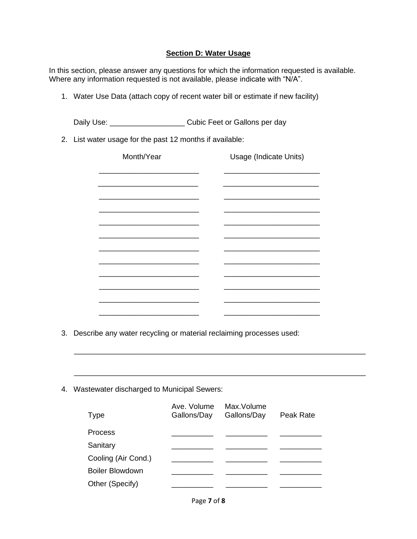## **Section D: Water Usage**

In this section, please answer any questions for which the information requested is available. Where any information requested is not available, please indicate with "N/A".

1. Water Use Data (attach copy of recent water bill or estimate if new facility)

Daily Use: \_\_\_\_\_\_\_\_\_\_\_\_\_\_\_\_\_\_\_\_\_\_\_\_\_ Cubic Feet or Gallons per day

2. List water usage for the past 12 months if available:

| Month/Year                                                          |                            | Usage (Indicate Units)    |           |
|---------------------------------------------------------------------|----------------------------|---------------------------|-----------|
|                                                                     |                            |                           |           |
|                                                                     |                            |                           |           |
|                                                                     |                            |                           |           |
|                                                                     |                            |                           |           |
|                                                                     |                            |                           |           |
|                                                                     |                            |                           |           |
|                                                                     |                            |                           |           |
|                                                                     |                            |                           |           |
|                                                                     |                            |                           |           |
|                                                                     |                            |                           |           |
|                                                                     |                            |                           |           |
| Describe any water recycling or material reclaiming processes used: |                            |                           |           |
|                                                                     |                            |                           |           |
|                                                                     |                            |                           |           |
|                                                                     |                            |                           |           |
| Wastewater discharged to Municipal Sewers:                          |                            |                           |           |
|                                                                     |                            |                           |           |
|                                                                     |                            |                           |           |
| <b>Type</b>                                                         | Ave. Volume<br>Gallons/Day | Max.Volume<br>Gallons/Day | Peak Rate |
| Process                                                             |                            |                           |           |
| Sanitary                                                            |                            |                           |           |

Boiler Blowdown Other (Specify)